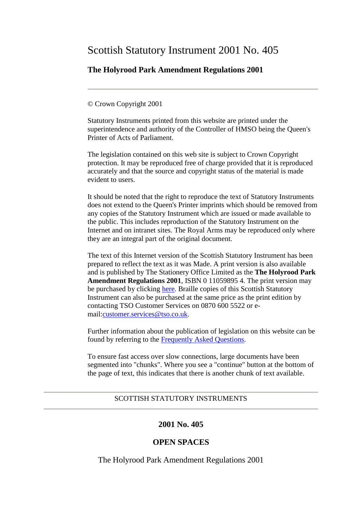# Scottish Statutory Instrument 2001 No. 405

# **The Holyrood Park Amendment Regulations 2001**

#### © Crown Copyright 2001

Statutory Instruments printed from this website are printed under the superintendence and authority of the Controller of HMSO being the Queen's Printer of Acts of Parliament.

The legislation contained on this web site is subject to Crown Copyright protection. It may be reproduced free of charge provided that it is reproduced accurately and that the source and copyright status of the material is made evident to users.

It should be noted that the right to reproduce the text of Statutory Instruments does not extend to the Queen's Printer imprints which should be removed from any copies of the Statutory Instrument which are issued or made available to the public. This includes reproduction of the Statutory Instrument on the Internet and on intranet sites. The Royal Arms may be reproduced only where they are an integral part of the original document.

The text of this Internet version of the Scottish Statutory Instrument has been prepared to reflect the text as it was Made. A print version is also available and is published by The Stationery Office Limited as the **The Holyrood Park Amendment Regulations 2001**, ISBN 0 11059895 4. The print version may be purchased by clicking [here.](http://www.opsi.gov.uk/bookstore.htm?AF=A10075&FO=38383&ACTION=AddItem&ProductID=0110598954) Braille copies of this Scottish Statutory Instrument can also be purchased at the same price as the print edition by contacting TSO Customer Services on 0870 600 5522 or email[:customer.services@tso.co.uk.](mailto:customer.services@tso.co.uk)

Further information about the publication of legislation on this website can be found by referring to the [Frequently Asked Questions.](http://www.hmso.gov.uk/faqs.htm)

To ensure fast access over slow connections, large documents have been segmented into "chunks". Where you see a "continue" button at the bottom of the page of text, this indicates that there is another chunk of text available.

#### SCOTTISH STATUTORY INSTRUMENTS

### **2001 No. 405**

## **OPEN SPACES**

The Holyrood Park Amendment Regulations 2001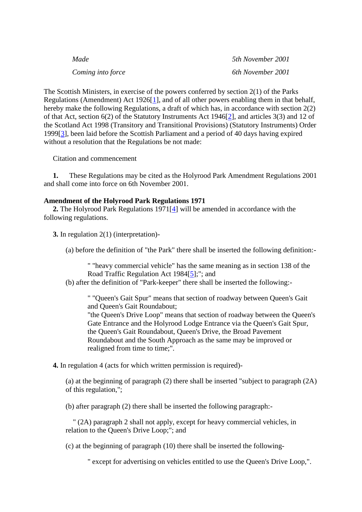| Made              | 5th November 2001 |
|-------------------|-------------------|
| Coming into force | 6th November 2001 |

The Scottish Ministers, in exercise of the powers conferred by section 2(1) of the Parks Regulations (Amendment) Act 1926[\[1\]](http://www.opsi.gov.uk/legislation/scotland/ssi2001/20010405.htm#note1#note1), and of all other powers enabling them in that behalf, hereby make the following Regulations, a draft of which has, in accordance with section 2(2) of that Act, section 6(2) of the Statutory Instruments Act 1946[\[2\]](http://www.opsi.gov.uk/legislation/scotland/ssi2001/20010405.htm#note2#note2), and articles 3(3) and 12 of the Scotland Act 1998 (Transitory and Transitional Provisions) (Statutory Instruments) Order 1999[\[3\]](http://www.opsi.gov.uk/legislation/scotland/ssi2001/20010405.htm#note3#note3), been laid before the Scottish Parliament and a period of 40 days having expired without a resolution that the Regulations be not made:

Citation and commencement

 **1.** These Regulations may be cited as the Holyrood Park Amendment Regulations 2001 and shall come into force on 6th November 2001.

#### **Amendment of the Holyrood Park Regulations 1971**

 **2.** The Holyrood Park Regulations 1971[\[4\]](http://www.opsi.gov.uk/legislation/scotland/ssi2001/20010405.htm#note4#note4) will be amended in accordance with the following regulations.

**3.** In regulation 2(1) (interpretation)-

(a) before the definition of "the Park" there shall be inserted the following definition:-

" "heavy commercial vehicle" has the same meaning as in section 138 of the Road Traffic Regulation Act 1984[\[5\]](http://www.opsi.gov.uk/legislation/scotland/ssi2001/20010405.htm#note5#note5);"; and

(b) after the definition of "Park-keeper" there shall be inserted the following:-

" "Queen's Gait Spur" means that section of roadway between Queen's Gait and Queen's Gait Roundabout;

"the Queen's Drive Loop" means that section of roadway between the Queen's Gate Entrance and the Holyrood Lodge Entrance via the Queen's Gait Spur, the Queen's Gait Roundabout, Queen's Drive, the Broad Pavement Roundabout and the South Approach as the same may be improved or realigned from time to time;".

**4.** In regulation 4 (acts for which written permission is required)-

(a) at the beginning of paragraph (2) there shall be inserted "subject to paragraph (2A) of this regulation,";

(b) after paragraph (2) there shall be inserted the following paragraph:-

 " (2A) paragraph 2 shall not apply, except for heavy commercial vehicles, in relation to the Queen's Drive Loop;"; and

(c) at the beginning of paragraph (10) there shall be inserted the following-

" except for advertising on vehicles entitled to use the Queen's Drive Loop,".